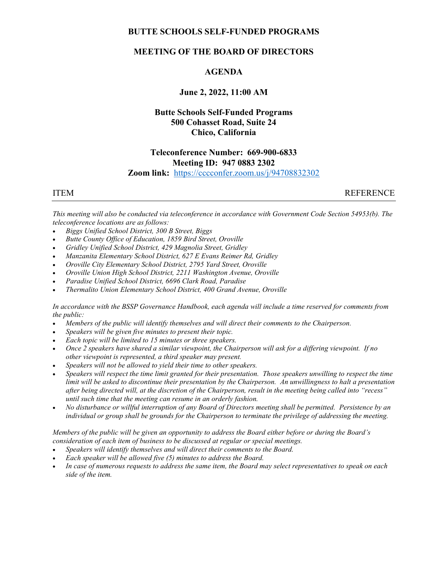### BUTTE SCHOOLS SELF-FUNDED PROGRAMS

### MEETING OF THE BOARD OF DIRECTORS

#### AGENDA

#### June 2, 2022, 11:00 AM

# Butte Schools Self-Funded Programs 500 Cohasset Road, Suite 24 Chico, California

#### Teleconference Number: 669-900-6833 Meeting ID: 947 0883 2302 Zoom link: https://cccconfer.zoom.us/j/94708832302

ITEM REFERENCE

This meeting will also be conducted via teleconference in accordance with Government Code Section 54953(b). The teleconference locations are as follows:

- Biggs Unified School District, 300 B Street, Biggs
- Butte County Office of Education, 1859 Bird Street, Oroville
- Gridley Unified School District, 429 Magnolia Street, Gridley
- Manzanita Elementary School District, 627 E Evans Reimer Rd, Gridley
- Oroville City Elementary School District, 2795 Yard Street, Oroville
- Oroville Union High School District, 2211 Washington Avenue, Oroville
- Paradise Unified School District, 6696 Clark Road, Paradise
- Thermalito Union Elementary School District, 400 Grand Avenue, Oroville

In accordance with the BSSP Governance Handbook, each agenda will include a time reserved for comments from the public:

- Members of the public will identify themselves and will direct their comments to the Chairperson.
- Speakers will be given five minutes to present their topic.
- Each topic will be limited to 15 minutes or three speakers.
- Once 2 speakers have shared a similar viewpoint, the Chairperson will ask for a differing viewpoint. If no other viewpoint is represented, a third speaker may present.
- Speakers will not be allowed to yield their time to other speakers.
- Speakers will respect the time limit granted for their presentation. Those speakers unwilling to respect the time limit will be asked to discontinue their presentation by the Chairperson. An unwillingness to halt a presentation after being directed will, at the discretion of the Chairperson, result in the meeting being called into "recess" until such time that the meeting can resume in an orderly fashion.
- No disturbance or willful interruption of any Board of Directors meeting shall be permitted. Persistence by an individual or group shall be grounds for the Chairperson to terminate the privilege of addressing the meeting.

Members of the public will be given an opportunity to address the Board either before or during the Board's consideration of each item of business to be discussed at regular or special meetings.

- Speakers will identify themselves and will direct their comments to the Board.
- Each speaker will be allowed five (5) minutes to address the Board.
- In case of numerous requests to address the same item, the Board may select representatives to speak on each side of the item.